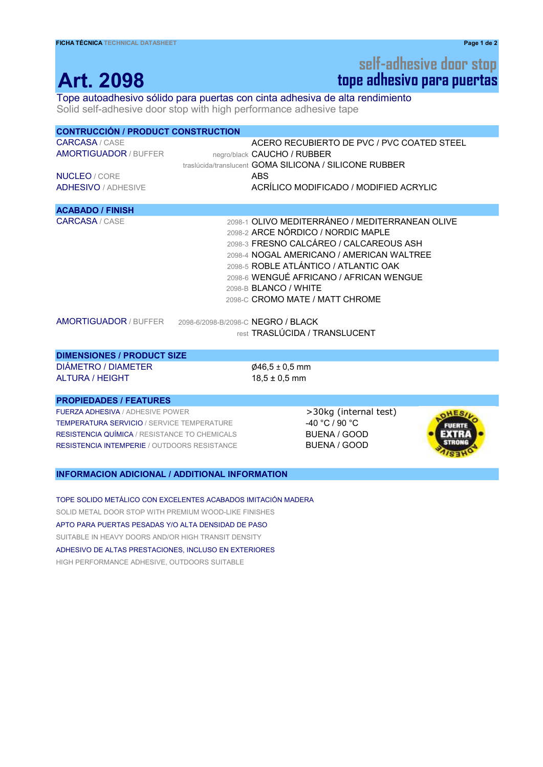## tope adhesivo para puertas self-adhesive door stop

## Tope autoadhesivo sólido para puertas con cinta adhesiva de alta rendimiento

Solid self-adhesive door stop with high performance adhesive tape

| <b>CONTRUCCIÓN / PRODUCT CONSTRUCTION</b>             |                                                                                                                                                                                                                                                                                                                                      |  |
|-------------------------------------------------------|--------------------------------------------------------------------------------------------------------------------------------------------------------------------------------------------------------------------------------------------------------------------------------------------------------------------------------------|--|
| <b>CARCASA</b> / CASE<br><b>AMORTIGUADOR / BUFFER</b> | ACERO RECUBIERTO DE PVC / PVC COATED STEEL<br>negro/black CAUCHO / RUBBER<br>traslúcida/translucent GOMA SILICONA / SILICONE RUBBER                                                                                                                                                                                                  |  |
| <b>NUCLEO</b> / CORE                                  | <b>ABS</b>                                                                                                                                                                                                                                                                                                                           |  |
| <b>ADHESIVO / ADHESIVE</b>                            | ACRÍLICO MODIFICADO / MODIFIED ACRYLIC                                                                                                                                                                                                                                                                                               |  |
| <b>ACABADO / FINISH</b>                               |                                                                                                                                                                                                                                                                                                                                      |  |
| <b>CARCASA</b> / CASE                                 | 2098-1 OLIVO MEDITERRÁNEO / MEDITERRANEAN OLIVE<br>2098-2 ARCE NÓRDICO / NORDIC MAPLE<br>2098-3 FRESNO CALCÁREO / CALCAREOUS ASH<br>2098-4 NOGAL AMERICANO / AMERICAN WALTREE<br>2098-5 ROBLE ATLÁNTICO / ATLANTIC OAK<br>2098-6 WENGUÉ AFRICANO / AFRICAN WENGUE<br>2098-B <b>BLANCO / WHITE</b><br>2098-C CROMO MATE / MATT CHROME |  |
|                                                       | AMORTIGUADOR / BUFFER 2098-6/2098-B/2098-C NEGRO / BLACK<br>rest TRASLÚCIDA / TRANSLUCENT                                                                                                                                                                                                                                            |  |
| <b>DIMENSIONES / PRODUCT SIZE</b>                     |                                                                                                                                                                                                                                                                                                                                      |  |

DIÁMETRO / DIAMETER  $\emptyset$ 46,5 ± 0,5 mm ALTURA / HEIGHT 18,5 ± 0,5 mm

### PROPIEDADES / FEATURES

FUERZA ADHESIVA / ADHESIVE POWER **XVIII STARK STARK STARK >30kg (internal test)** TEMPERATURA SERVICIO / SERVICE TEMPERATURE  $-40 °C / 90 °C$ RESISTENCIA QUÍMICA / RESISTANCE TO CHEMICALS BUENA / GOOD RESISTENCIA INTEMPERIE / OUTDOORS RESISTANCE BUENA / GOOD



#### INFORMACION ADICIONAL / ADDITIONAL INFORMATION

TOPE SOLIDO METÁLICO CON EXCELENTES ACABADOS IMITACIÓN MADERA SOLID METAL DOOR STOP WITH PREMIUM WOOD-LIKE FINISHES APTO PARA PUERTAS PESADAS Y/O ALTA DENSIDAD DE PASO SUITABLE IN HEAVY DOORS AND/OR HIGH TRANSIT DENSITY ADHESIVO DE ALTAS PRESTACIONES, INCLUSO EN EXTERIORES HIGH PERFORMANCE ADHESIVE, OUTDOORS SUITABLE